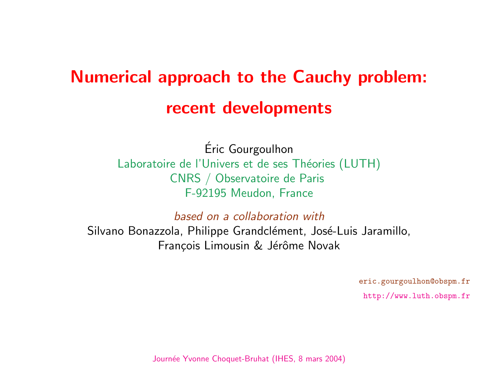# <span id="page-0-0"></span>**Numerical approach to the Cauchy problem:** recent developments

Eric Gourgoulhon ´ Laboratoire de l'Univers et de ses Théories (LUT CNRS / Observatoire de Paris F-92195 Meudon, France

based on a collaboration with

 $\epsilon$ 

Silvano Bonazzola, Philippe Grandclément, José-Luis François Limousin & Jérôme Novak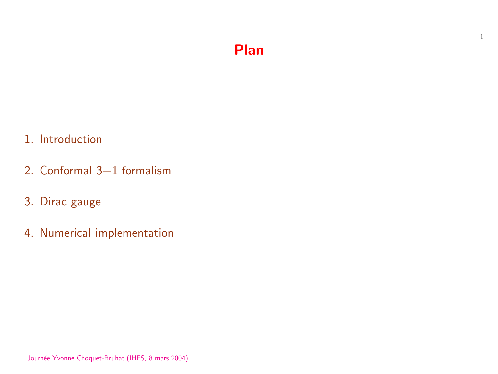#### Plan

- 1. Introduction
- 2. Conformal 3+1 formalism
- 3. Dirac gauge
- 4. Numerical implementation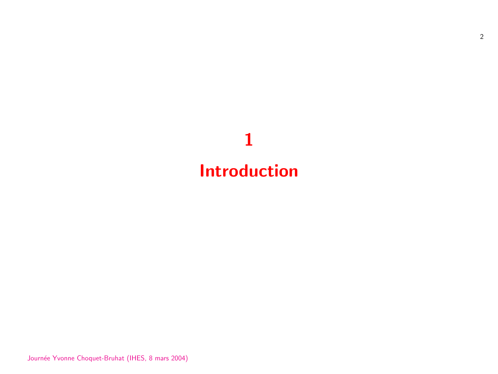# 1 Introduction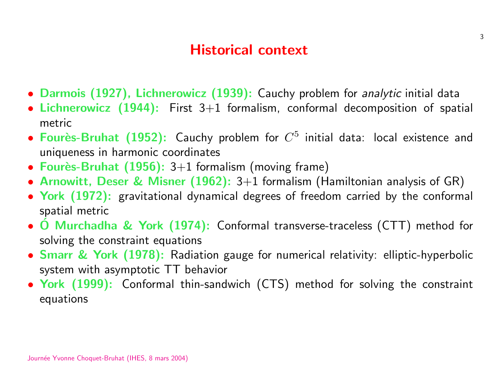#### Historical context

- Darmois (1927), Lichnerowicz (1939): Cauchy problem for analytic initial data
- Lichnerowicz  $(1944)$ : First  $3+1$  formalism, conformal decomposition of spatial metric
- Fourès-Bruhat (1952): Cauchy problem for  $C^5$  initial data: local existence and uniqueness in harmonic coordinates
- Fourès-Bruhat  $(1956)$ : 3+1 formalism (moving frame)
- Arnowitt, Deser & Misner  $(1962)$ : 3+1 formalism (Hamiltonian analysis of GR)
- York (1972): gravitational dynamical degrees of freedom carried by the conformal spatial metric
- O Murchadha & York (1974): Conformal transverse-traceless (CTT) method for solving the constraint equations
- Smarr & York (1978): Radiation gauge for numerical relativity: elliptic-hyperbolic system with asymptotic TT behavior
- York (1999): Conformal thin-sandwich (CTS) method for solving the constraint equations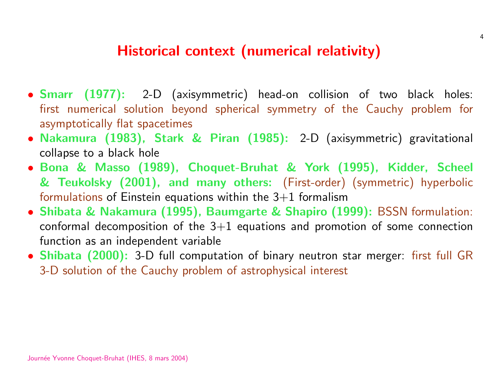#### Historical context (numerical relativity)

- Smarr (1977): 2-D (axisymmetric) head-on collision of two black holes: first numerical solution beyond spherical symmetry of the Cauchy problem for asymptotically flat spacetimes
- Nakamura (1983), Stark & Piran (1985): 2-D (axisymmetric) gravitational collapse to a black hole
- Bona & Masso (1989), Choquet-Bruhat & York (1995), Kidder, Scheel & Teukolsky (2001), and many others: (First-order) (symmetric) hyperbolic formulations of Einstein equations within the  $3+1$  formalism
- Shibata & Nakamura (1995), Baumgarte & Shapiro (1999): BSSN formulation: conformal decomposition of the  $3+1$  equations and promotion of some connection function as an independent variable
- Shibata (2000): 3-D full computation of binary neutron star merger: first full GR 3-D solution of the Cauchy problem of astrophysical interest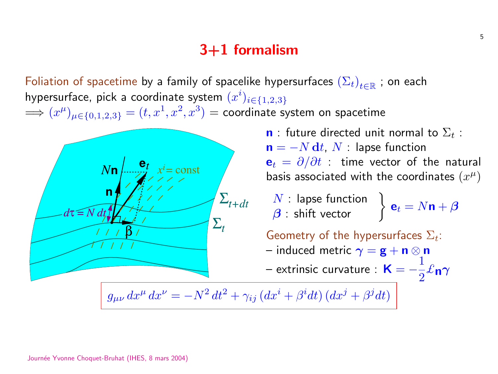#### 3+1 formalism

Foliation of spacetime by a family of spacelike hypersurfaces  $(\Sigma_t)_{t\in\mathbb{R}}$  ; on each hypersurface, pick a coordinate system  $(x^i)_{i \in \{1,2,3\}}$  $\implies (x^\mu)_{\mu \in \{0,1,2,3\}} = (t,x^1,x^2,x^3) =$  coordinate system on spacetime



**n** : future directed unit normal to  $\Sigma_t$  :  $\mathbf{n} = -N \, \mathbf{d} t$ ,  $N$  : lapse function  ${\bf e}_t = \partial/\partial t$  : time vector of the natural basis associated with the coordinates  $(x^{\mu})$ 

 $N$  : lapse function  $N$  : lapse function  $\beta$  : shift vector  $\int$ 

 $\mathbf{e}_t = N \mathbf{n} + \boldsymbol{\beta}$ 

Geometry of the hypersurfaces  $\Sigma_t$ : – induced metric  $\gamma = \mathbf{g} + \mathbf{n} \otimes \mathbf{n}$ 

 $-$  extrinsic curvature :  $\,\mathsf{K}=-\,$ 1 2  $\ell$ n $\gamma$ 

 $g_{\mu\nu} dx^{\mu} dx^{\nu} = -N^2 dt^2 + \gamma_{ij} (dx^i + \beta^i dt) (dx^j + \beta^j dt)$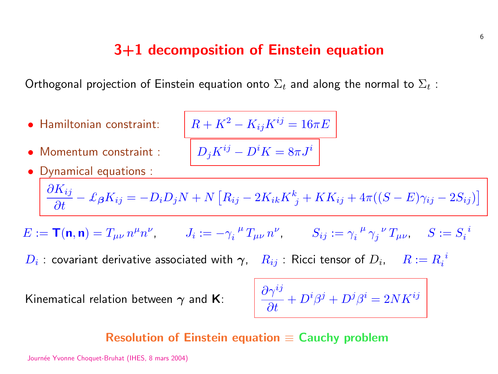#### 3+1 decomposition of Einstein equation

<span id="page-6-0"></span>Orthogonal projection of Einstein equation onto  $\Sigma_t$  and along the normal to  $\Sigma_t$ :

• Hamiltonian constraint:  $R + K^2 - K_{ij}K^{ij} = 16\pi E$ 

\n- Dynamical equations: 
$$
\overline{\frac{\partial K_{ij}}{\partial t} - \pounds_{\beta} K_{ij} = -D_i D_j N + N \left[ R_{ij} - 2K_{ik} K^k_{\ j} + KK_{ij} + 4\pi((S - E)\gamma_{ij} - 2S_{ij}) \right]}
$$
\n

 $\overline{\left[D_jK^{ij}-D^iK=8\pi J^i\right]}$ 

 $E := \mathsf{T}(\mathsf{n},\mathsf{n}) = T_{\mu\nu} n^{\mu} n^{\nu}, \qquad J_i := - \gamma_i^{\mu} T_{\mu\nu} n^{\nu}, \qquad S_{ij} := \gamma_i^{\mu}$  $\frac{1}{i}^{\mu}\gamma_j^{\phantom{j}\nu}\,T_{\mu\nu},\quad \, S:=S_i^{\phantom{i}\bar{i}}$ i

 $D_i$  : covariant derivative associated with  $\boldsymbol{\gamma}, \quad R_{ij}$  : Ricci tensor of  $D_i, \quad R := R_i^{\phantom{i}i}$ i

Kinematical relation between  $\gamma$  and **K**:

$$
\frac{\partial \gamma^{ij}}{\partial t} + D^i \beta^j + D^j \beta^i = 2 N K^{ij}
$$

#### Resolution of Einstein equation  $\equiv$  Cauchy problem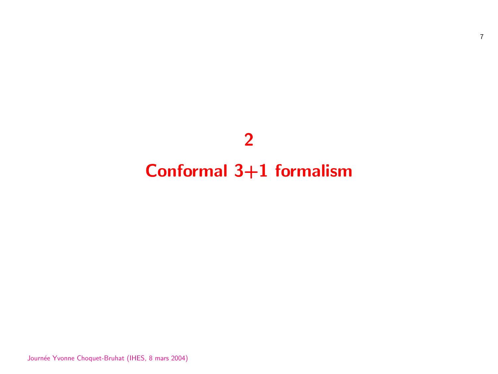## 2

## Conformal 3+1 formalism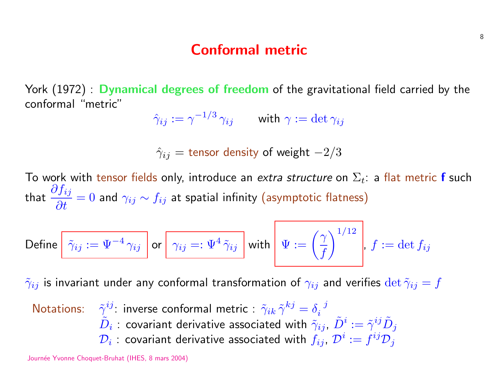#### Conformal metric

York (1972) : Dynamical degrees of freedom of the gravitational field carried by the conformal "metric"

$$
\hat{\gamma}_{ij}:=\gamma^{-1/3}\,\gamma_{ij}\qquad\text{ with }\gamma:=\det\gamma_{ij}
$$

 $\hat{\gamma}_{ij}$  = tensor density of weight  $-2/3$ 

To work with tensor fields only, introduce an extra structure on  $\Sigma_t$ : a flat metric f such that  $\frac{\partial f_{ij}}{\partial x}$  $\frac{\partial^2 J_{ij}}{\partial t}=0$  and  $\gamma_{ij}\sim f_{ij}$  at spatial infinity (asymptotic flatness)

$$
\text{Define } \boxed{\tilde{\gamma}_{ij} := \Psi^{-4}\,\gamma_{ij}} \text{ or } \boxed{\gamma_{ij} =: \Psi^{4}\,\tilde{\gamma}_{ij}} \text{ with } \boxed{\Psi := \left(\frac{\gamma}{f}\right)^{1/12}}, \, f := \det f_{ij}
$$

 $\tilde{\gamma}_{ij}$  is invariant under any conformal transformation of  $\gamma_{ij}$  and verifies  $\det \tilde{\gamma}_{ij} = f$ 

Notations:  $\tilde{\gamma}^{ij}$ : inverse conformal metric :  $\tilde{\gamma}_{ik}\,\tilde{\gamma}^{kj}=\delta_i^{\;\;j}$ i  $\tilde{D}_i$  : covariant derivative associated with  $\tilde{\gamma}_{ij}$ ,  $\tilde{D}^i:=\tilde{\gamma}^{ij}\tilde{D}_j$  $\mathcal{D}_i$  : covariant derivative associated with  $f_{ij}$ ,  $\mathcal{D}^i:=f^{ij}\mathcal{D}_j$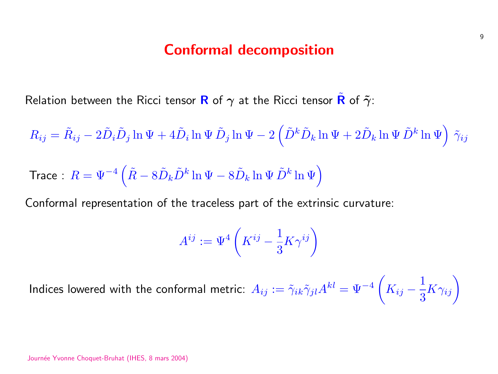#### Conformal decomposition

Relation between the Ricci tensor R of  $\gamma$  at the Ricci tensor R of  $\tilde{\gamma}$ :

$$
R_{ij} = \tilde{R}_{ij} - 2\tilde{D}_i \tilde{D}_j \ln \Psi + 4\tilde{D}_i \ln \Psi \tilde{D}_j \ln \Psi - 2\left(\tilde{D}^k \tilde{D}_k \ln \Psi + 2\tilde{D}_k \ln \Psi \tilde{D}^k \ln \Psi\right) \tilde{\gamma}_{ij}
$$
  
Trace :  $R = \Psi^{-4} \left(\tilde{R} - 8\tilde{D}_k \tilde{D}^k \ln \Psi - 8\tilde{D}_k \ln \Psi \tilde{D}^k \ln \Psi\right)$ 

Conformal representation of the traceless part of the extrinsic curvature:

$$
A^{ij}:=\Psi^4\left(K^{ij}-\frac{1}{3}K\gamma^{ij}\right)
$$

Indices lowered with the conformal metric:  $A_{ij}:=\tilde{\gamma}_{ik}\tilde{\gamma}_{jl}A^{kl}=\Psi^{-4}$  $\overline{a}$  $K_{ij}$  – 1 3  $K\gamma_{ij}$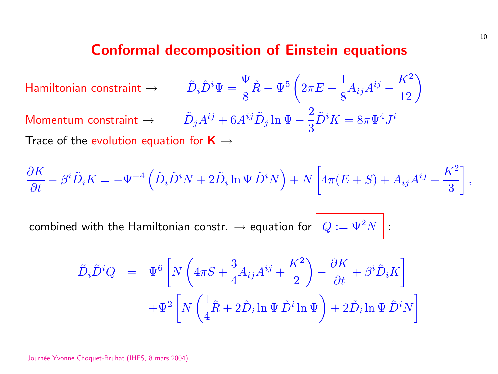#### **[Conformal decomp](#page-6-0)osition of Einstein equation**

Hamiltonian constraint  $\rightarrow \qquad \tilde{D}_i \tilde{D}^i \Psi = \frac{\Psi}{\delta}$ 8  $\tilde{R}-\Psi^5$  $\overline{a}$  $2\pi E +$ 1 8  $A_{ij}$ Momentum constraint  $\rightarrow \qquad \tilde{D}_j A^{ij} + 6 A^{ij} \tilde{D}_j \ln \Psi -$ 2 3  $\tilde{D}^i K = 8$ Trace of the evolution equation for  $K \rightarrow$ 

$$
\frac{\partial K}{\partial t} - \beta^i \tilde{D}_i K = -\Psi^{-4} \left( \tilde{D}_i \tilde{D}^i N + 2 \tilde{D}_i \ln \Psi \tilde{D}^i N \right) + N \left[ 4\pi (E +
$$

combined with the Hamiltonian constr.  $\rightarrow$  equation for  $\boxed{Q := \Psi}$ 

$$
\tilde{D}_{i}\tilde{D}^{i}Q = \Psi^{6}\left[N\left(4\pi S + \frac{3}{4}A_{ij}A^{ij} + \frac{K^{2}}{2}\right) - \frac{\partial K}{\partial t} + \Psi^{2}\left[N\left(\frac{1}{4}\tilde{R} + 2\tilde{D}_{i}\ln\Psi\tilde{D}^{i}\ln\Psi\right) + 2\tilde{D}_{i}\right]\right]
$$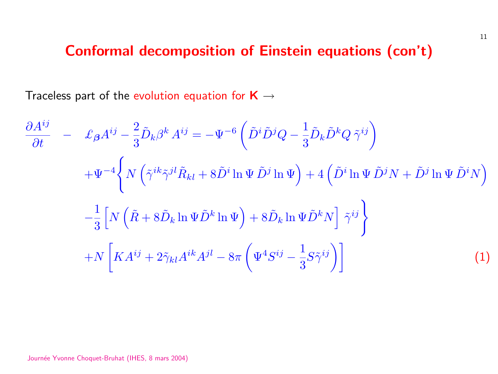#### Conformal decomposition of Einstein equation

ij¶

Traceless part of the evolution equation for  $K \rightarrow$ 

$$
\frac{\partial A^{ij}}{\partial t} - \mathcal{L}_{\beta} A^{ij} - \frac{2}{3} \tilde{D}_k \beta^k A^{ij} = -\Psi^{-6} \left( \tilde{D}^i \tilde{D}^j Q - \frac{1}{3} \tilde{D}_k \tilde{D}^k Q \tilde{\gamma}^j \right)
$$
  
+ 
$$
\Psi^{-4} \left\{ N \left( \tilde{\gamma}^{ik} \tilde{\gamma}^{jl} \tilde{R}_{kl} + 8 \tilde{D}^i \ln \Psi \tilde{D}^j \ln \Psi \right) + 4 \left( \tilde{D}^i \ln \Psi \right) \right\}
$$
  
- 
$$
\frac{1}{3} \left[ N \left( \tilde{R} + 8 \tilde{D}_k \ln \Psi \tilde{D}^k \ln \Psi \right) + 8 \tilde{D}_k \ln \Psi \tilde{D}^k N \right] \tilde{\gamma}^{ij}
$$
  
+ 
$$
N \left[ K A^{ij} + 2 \tilde{\gamma}_{kl} A^{ik} A^{jl} - 8 \pi \left( \Psi^4 S^{ij} - \frac{1}{3} S \tilde{\gamma}^{ij} \right) \right]
$$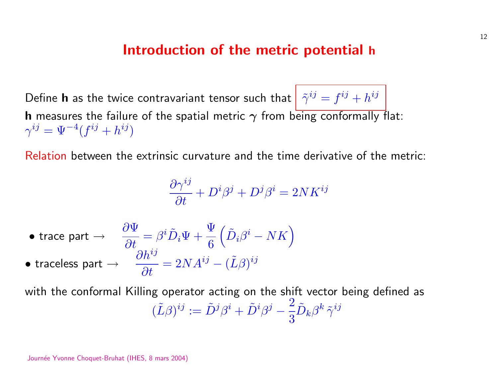#### Introduction of the metric potential

Define **h** as the twice contravariant tensor such that  $\int \tilde{\gamma}^{ij} = f^{ij} + f^{ij}$ **h** measures the failure of the spatial metric  $\gamma$  from being conform  $\gamma^{ij} = \Psi^{-4}(f^{ij} + h^{ij})$ 

Relation between the extrinsic curvature and the time derivative of

$$
\frac{\partial \gamma^{ij}}{\partial t}+D^i\beta^j+D^j\beta^i=2NK^{ij}
$$

\n- trace part 
$$
\rightarrow
$$
  $\frac{\partial \Psi}{\partial t} = \beta^i \tilde{D}_i \Psi + \frac{\Psi}{6} \left( \tilde{D}_i \beta^i - NK \right)$
\n- traceless part  $\rightarrow$   $\frac{\partial h^{ij}}{\partial t} = 2NA^{ij} - (\tilde{L}\beta)^{ij}$
\n

with the conformal Killing operator acting on the shift vector bein  $(\tilde{L}\beta)^{ij} := \tilde{D}^j\beta^i + \tilde{D}^i\beta^j$ 2 3  $\tilde{D}_k \beta^k \, \tilde{\gamma}^{ij}$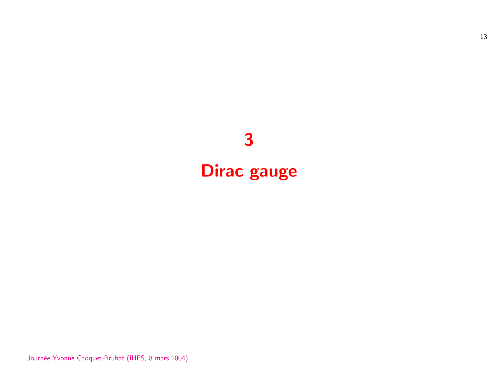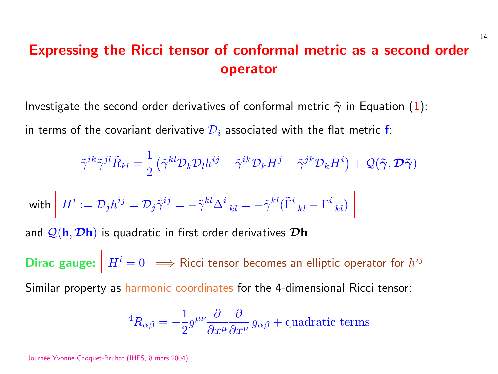## Expressing the Ricci tensor of conformal metric as operator

Investigate the second order derivatives of conformal metric  $\tilde{\gamma}$  in I in terms of the covariant derivative  $\mathcal{D}_i$  associated with the flat me

$$
\tilde{\gamma}^{ik}\tilde{\gamma}^{jl}\tilde{R}_{kl}=\frac{1}{2}\left(\tilde{\gamma}^{kl}\mathcal{D}_{k}\mathcal{D}_{l}h^{ij}-\tilde{\gamma}^{ik}\mathcal{D}_{k}H^{j}-\tilde{\gamma}^{jk}\mathcal{D}_{k}H^{i}\right)+
$$

with  $\left\| H^i := \mathcal{D}_j h^{ij} = \mathcal{D}_j \tilde{\gamma}^{ij} = -\tilde{\gamma}^{kl} \Delta^i\,_{kl} = -\tilde{\gamma}^{kl} (\tilde{\Gamma}^i_{\phantom{i}kl} - \bar{\Gamma}^i_{\phantom{i}kl})$ and  $\mathcal{Q}(\mathbf{h}, \mathcal{D}\mathbf{h})$  is quadratic in first order derivatives  $\mathcal{D}\mathbf{h}$ Dirac gauge:  $\left| H^i = 0 \right| \Longrightarrow$  Ricci tensor becomes an elliptic ope Similar property as harmonic coordinates for the 4-dimensional Ric

$$
{}^4R_{\alpha\beta}=-\frac{1}{2}g^{\mu\nu}\frac{\partial}{\partial x^\mu}\frac{\partial}{\partial x^\nu}g_{\alpha\beta}+\text{quadratic term}
$$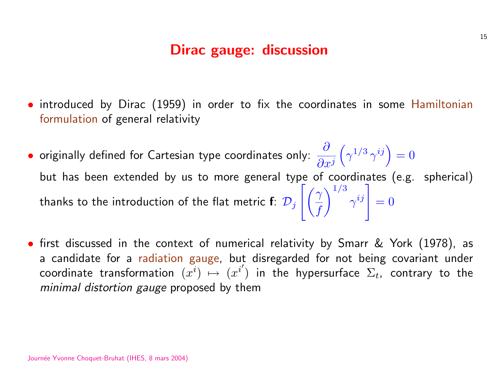#### Dirac gauge: discussion

- introduced by Dirac (1959) in order to fix the coordinates in some Hamiltonian formulation of general relativity
- originally defined for Cartesian type coordinates only:  $\frac{\partial}{\partial x}$  $\partial x^j$  $\overline{a}$  $\gamma^{1/3}\, \gamma$  $ii^{\prime}$  $= 0$ but has been extended by us to more general type of coordinates (e.g. spherical) thanks to the introduction of the flat metric  $\mathbf{f:} \,\,\mathcal{D}_j$  $\gamma$ f  $\frac{1}{3}$  $\gamma$ ına $\left[\right] \hspace{-0.4cm}\left.\begin{array}{c} \text{and} \ j \end{array}\right]$  $= 0$
- first discussed in the context of numerical relativity by Smarr & York (1978), as a candidate for a radiation gauge, but disregarded for not being covariant under coordinate transformation  $(x^i) \mapsto (x^{i'})$  in the hypersurface  $\Sigma_t$ , contrary to the minimal distortion gauge proposed by them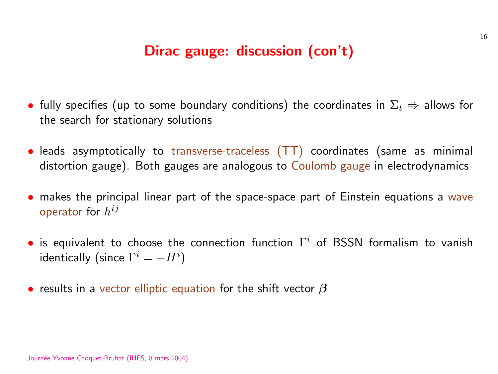#### Dirac gauge: discussion (con't)

- fully specifies (up to some boundary conditions) the coordinates in  $\Sigma_t \Rightarrow$  allows for the search for stationary solutions
- leads asymptotically to transverse-traceless (TT) coordinates (same as minimal distortion gauge). Both gauges are analogous to Coulomb gauge in electrodynamics
- makes the principal linear part of the space-space part of Einstein equations a wave operator for  $h^{ij}$
- is equivalent to choose the connection function  $\Gamma^i$  of BSSN formalism to vanish identically (since  $\Gamma^i=-H^i)$
- results in a vector elliptic equation for the shift vector  $\beta$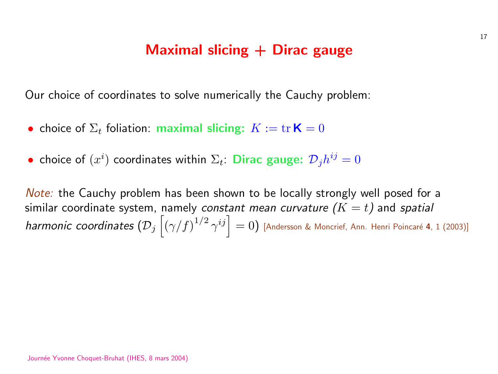#### Maximal slicing  $+$  Dirac gauge

Our choice of coordinates to solve numerically the Cauchy probler

- choice of  $\Sigma_t$  foliation: maximal slicing:  $K := \text{tr } K = 0$
- choice of  $(x^i)$  coordinates within  $\Sigma_t$ : Dirac gauge:  $\mathcal{D}_j h^{ij} = 0$

*Note:* the Cauchy problem has been shown to be locally strongly similar coordinate system, namely *constant mean curvature (* $K=1$ harmonic coordinates  $\left( \mathcal{D}_j \left\vert \left( \gamma / f \right)^{1/2} \gamma \right. \right.$ ISTE $\left.\begin{matrix} ij\end{matrix}\right|$  $= 0)$  [Andersson & Moncrief, Ann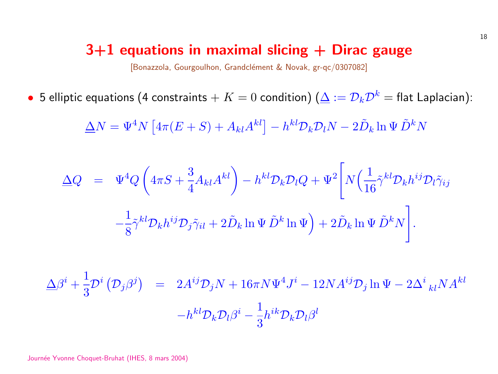#### $3+1$  equations in maximal slicing  $+$  Dirac [Bonazzola, Gourgoulhon, Grandclément & Novak, gr-qc/0307082

• 5 elliptic equations (4 constraints  $+$   $K=0$  condition) ( $\Delta:=\mathcal{D}_k$  $\overline{\Delta}N=\Psi^4N$ £  $4\pi(E+S)+A_{kl}A$  $kl$ ]  $-h^{kl}\mathcal{D}_k\mathcal{D}_lN-2I$ 

$$
\Delta Q = \Psi^4 Q \left( 4\pi S + \frac{3}{4} A_{kl} A^{kl} \right) - h^{kl} \mathcal{D}_k \mathcal{D}_l Q + \Psi^2 \left[ N \left( \frac{1}{8} \tilde{\gamma}^{kl} \mathcal{D}_k h^{ij} \mathcal{D}_j \tilde{\gamma}_{il} + 2 \tilde{D}_k \ln \Psi \tilde{D}^k \ln \Psi \right) + 2 \tilde{D}_k \ln \Psi \right]
$$

$$
\Delta\beta^{i} + \frac{1}{3}\mathcal{D}^{i}(\mathcal{D}_{j}\beta^{j}) = 2A^{ij}\mathcal{D}_{j}N + 16\pi N\Psi^{4}J^{i} - 12NA^{ij}\mathcal{D}
$$

$$
-h^{kl}\mathcal{D}_{k}\mathcal{D}_{l}\beta^{i} - \frac{1}{3}h^{ik}\mathcal{D}_{k}\mathcal{D}_{l}\beta^{l}
$$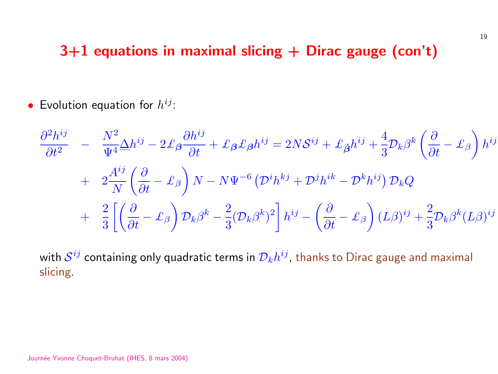### $3+1$  equations in maximal slicing  $+$  Dirac gauge (con't)

• Evolution equation for  $h^{ij}$ :

$$
\frac{\partial^2 h^{ij}}{\partial t^2} - \frac{N^2}{\Psi^4} \Delta h^{ij} - 2 \mathcal{L}_{\beta} \frac{\partial h^{ij}}{\partial t} + \mathcal{L}_{\beta} \mathcal{L}_{\beta} h^{ij} = 2N \mathcal{S}^{ij} + \mathcal{L}_{\dot{\beta}} h^{ij} + \frac{4}{3} \mathcal{D}_{k} \beta^{k} \left( \frac{\partial}{\partial t} - \mathcal{L}_{\beta} \right) h^{ij}
$$
  
+ 
$$
2 \frac{A^{ij}}{N} \left( \frac{\partial}{\partial t} - \mathcal{L}_{\beta} \right) N - N \Psi^{-6} \left( \mathcal{D}^{i} h^{kj} + \mathcal{D}^{j} h^{ik} - \mathcal{D}^{k} h^{ij} \right) \mathcal{D}_{k} Q
$$
  
+ 
$$
\frac{2}{3} \left[ \left( \frac{\partial}{\partial t} - \mathcal{L}_{\beta} \right) \mathcal{D}_{k} \beta^{k} - \frac{2}{3} (\mathcal{D}_{k} \beta^{k})^{2} \right] h^{ij} - \left( \frac{\partial}{\partial t} - \mathcal{L}_{\beta} \right) (L \beta)^{ij} + \frac{2}{3} \mathcal{D}_{k} \beta^{k} (L \beta)^{ij}
$$

with  $\mathcal{S}^{ij}$  containing only quadratic terms in  $\mathcal{D}_k h^{ij}$ , thanks to Dirac gauge and maximal slicing.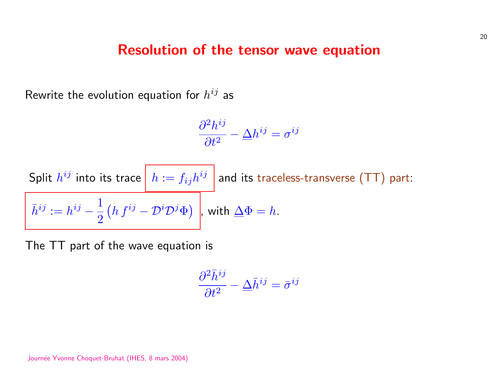#### Resolution of the tensor wave equation

Rewrite the evolution equation for  $h^{ij}$  as

$$
\frac{\partial^2 h^{ij}}{\partial t^2} - \Delta h^{ij} = \sigma^{ij}
$$

Split 
$$
h^{ij}
$$
 into its trace  $\boxed{h := f_{ij}h^{ij}}$  and its traceless-transverse (TT) part:  
\n $\bar{h}^{ij} := h^{ij} - \frac{1}{2} (h f^{ij} - \mathcal{D}^i \mathcal{D}^j \Phi)$ , with  $\Delta \Phi = h$ .

The TT part of the wave equation is

$$
\frac{\partial^2 \bar{h}^{ij}}{\partial t^2} - \underline{\Delta} \bar{h}^{ij} = \bar{\sigma}^{ij}
$$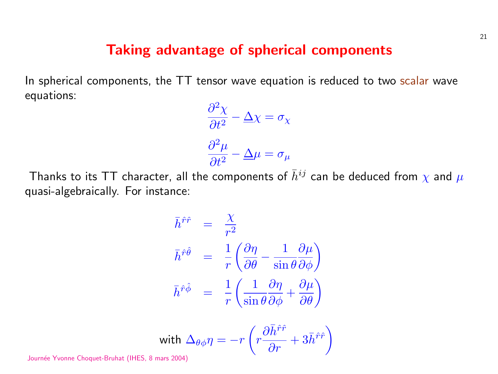#### Taking advantage of spherical components

In spherical components, the TT tensor wave equation is reduced to two scalar wave equations:

$$
\frac{\partial^2 \chi}{\partial t^2} - \Delta \chi = \sigma_{\chi}
$$

$$
\frac{\partial^2 \mu}{\partial t^2} - \Delta \mu = \sigma_{\mu}
$$

Thanks to its TT character, all the components of  $\bar{h}^{ij}$  can be deduced from  $\chi$  and  $\mu$ quasi-algebraically. For instance:

$$
\begin{aligned}\n\bar{h}^{\hat{r}\hat{r}} &= \frac{\chi}{r^2} \\
\bar{h}^{\hat{r}\hat{\theta}} &= \frac{1}{r} \left( \frac{\partial \eta}{\partial \theta} - \frac{1}{\sin \theta} \frac{\partial \mu}{\partial \phi} \right) \\
\bar{h}^{\hat{r}\hat{\phi}} &= \frac{1}{r} \left( \frac{1}{\sin \theta} \frac{\partial \eta}{\partial \phi} + \frac{\partial \mu}{\partial \theta} \right)\n\end{aligned}
$$

with 
$$
\Delta_{\theta\phi}\eta = -r\left(r\frac{\partial \bar{h}^{\hat{r}\hat{r}}}{\partial r} + 3\bar{h}^{\hat{r}\hat{r}}\right)
$$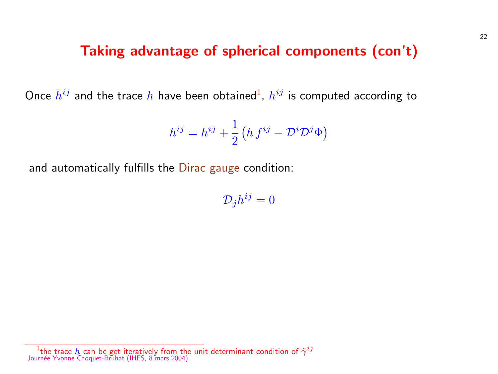#### Taking advantage of spherical components

Once  $\bar{h}^{ij}$  and the trace  $h$  have been obtained<sup>1</sup>,  $h^{ij}$  is computed ac

$$
h^{ij} = \bar{h}^{ij} + \frac{1}{2} \left( h \, f^{ij} - \mathcal{D}^i \mathcal{D}^j \Phi \right)
$$

and automatically fulfills the Dirac gauge condition:

 $\mathcal{D}_j h^{ij} = 0$ 

 $^1$ the trace  $h$  can be get iteratively from the unit determinant condition of  $\tilde{\gamma}^{ij}$ Journée Yvonne Choquet-Bruhat (IHES, 8 mars 2004)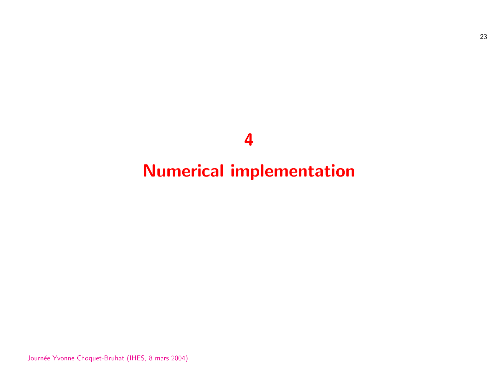

## Numerical implementation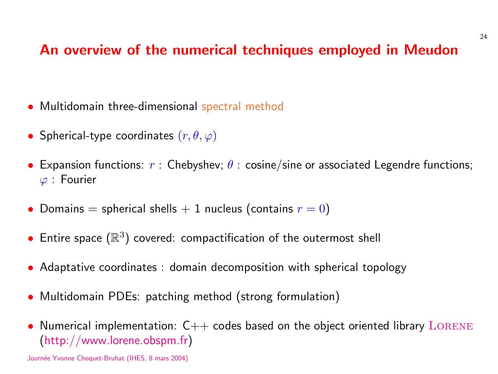#### An overview of the numerical techniques employ

- Multidomain three-dimensional spectral method
- Spherical-type coordinates  $(r, \theta, \varphi)$
- Expansion functions:  $r$  : Chebyshev;  $\theta$  : cosine/sine or associate  $\varphi$  : Fourier
- Domains = spherical shells  $+$  1 nucleus (contains  $r = 0$ )
- Entire space  $(\mathbb{R}^3)$  covered: compactification of the outermost s
- Adaptative coordinates : domain decomposition with spherical
- Multidomain PDEs: patching method (strong formulation)
- Numerical implementation:  $C++$  codes based on the object oriented in (http://www.lorene.obspm.fr)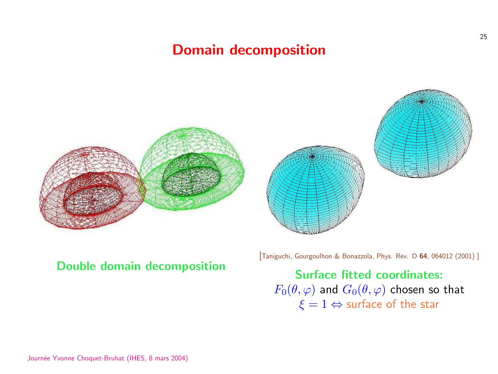### Domain decomposition





#### Double domain decomposition

[Taniguchi, Gourgoulhon & Bonazz

Surface fitte  $F_0(\theta, \varphi)$  and  $G_0(\theta, \varphi)$  $\xi = 1 \Leftrightarrow$  sur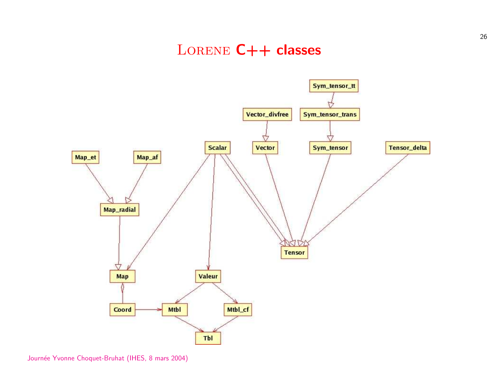#### LORENE C++ classes

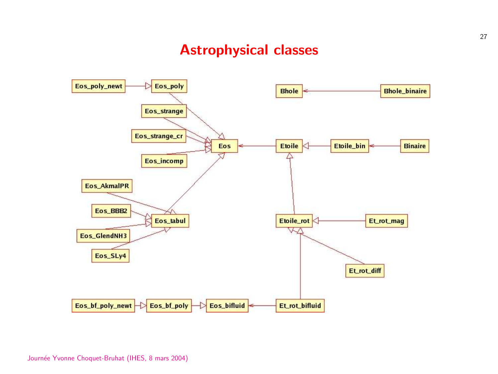#### Astrophysical classes

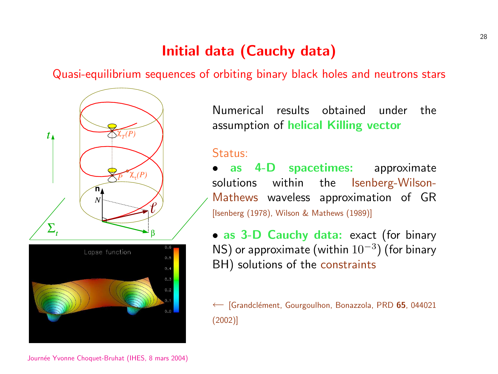## Initial data (Cauchy data)

Quasi-equilibrium sequences of orbiting binary black holes an



[Numerical results obtained](#page-0-0) assumption of helical Killing

#### Status:

as 4-D spacetimes: solutions within the Ise Mathews waveless approxin [Isenberg (1978), Wilson & Mathews (198

• [as](http://publish.aps.org/abstract/PRD/v65/e044021) 3-D Cauchy data: ex NS) or approximate (within 10 BH) solutions of the constrai

← [Grandclément, Gourgoulhon, Bonazzol (2002)]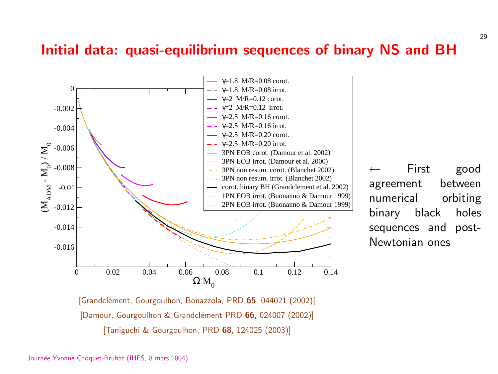#### Initial data: quasi-equilibrium sequences of bina



[Grandclément, Gourgoulhon, Bonazzola, PRD 65, 044021 (2002)] [Damour, Gourgoulhon & Grandclément PRD 66, 024007 (2002)] [Taniguchi & Gourgoulhon, PRD 68, 124025 (2003)]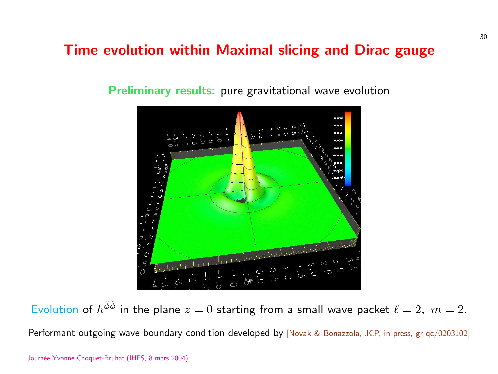#### Time evolution within Maximal slicing and D

Preliminary results: pure gravitational wave evolution



Evolution of  $h^{\hat{\phi}\hat{\phi}}$  in the plane  $z=0$  starting from a small wave p Performant outgoing wave boundary condition developed by [Novak & Bonazzola,